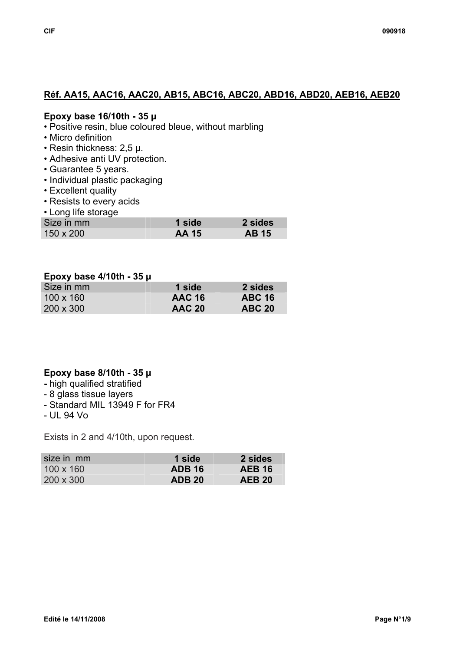# **Réf. AA15, AAC16, AAC20, AB15, ABC16, ABC20, ABD16, ABD20, AEB16, AEB20**

#### **Epoxy base 16/10th - 35 µ**

- Positive resin, blue coloured bleue, without marbling
- Micro definition
- Resin thickness: 2,5 µ.
- Adhesive anti UV protection.
- Guarantee 5 years.
- Individual plastic packaging
- Excellent quality
- Resists to every acids
- Long life storage

| Size in mm | <b>1 side</b> | 2 sides      |
|------------|---------------|--------------|
| 150 x 200  | <b>AA 15</b>  | <b>AB</b> 15 |

#### **Epoxy base 4/10th - 35 µ**

| Size in mm       | 1 side        | 2 sides       |
|------------------|---------------|---------------|
| $100 \times 160$ | <b>AAC 16</b> | <b>ABC 16</b> |
| $200 \times 300$ | <b>AAC 20</b> | <b>ABC 20</b> |

## **Epoxy base 8/10th - 35 µ**

- **-** high qualified stratified
- 8 glass tissue layers
- Standard MIL 13949 F for FR4
- UL 94 Vo

Exists in 2 and 4/10th, upon request.

| size in mm       | 1 side        | 2 sides       |
|------------------|---------------|---------------|
| $100 \times 160$ | <b>ADB 16</b> | <b>AEB 16</b> |
| $200 \times 300$ | <b>ADB 20</b> | <b>AEB 20</b> |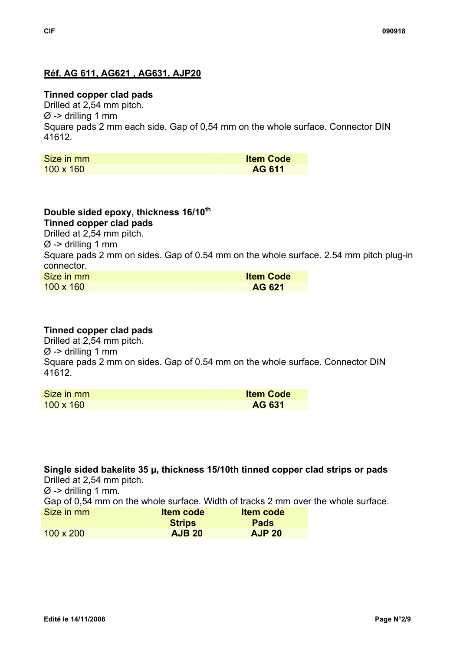# **Réf. AG 611, AG621 , AG631, AJP20**

## **Tinned copper clad pads**

Drilled at 2,54 mm pitch.  $\varnothing$  -> drilling 1 mm Square pads 2 mm each side. Gap of 0,54 mm on the whole surface. Connector DIN 41612.

| Size in mm       | <b>Item Code</b> |
|------------------|------------------|
| $100 \times 160$ | AG 611           |

#### **Double sided epoxy, thickness 16/10th Tinned copper clad pads**

Drilled at 2,54 mm pitch.

 $\varnothing$  -> drilling 1 mm

Square pads 2 mm on sides. Gap of 0.54 mm on the whole surface. 2.54 mm pitch plug-in connector.

| Size in mm       | <b>Item Code</b> |
|------------------|------------------|
| $100 \times 160$ | AG 621           |

# **Tinned copper clad pads**

Drilled at 2,54 mm pitch.  $\varnothing$  -> drilling 1 mm Square pads 2 mm on sides. Gap of 0.54 mm on the whole surface. Connector DIN 41612.

| Size in mm       | <b>Item Code</b> |
|------------------|------------------|
| $100 \times 160$ | AG 631           |

**Single sided bakelite 35 µ, thickness 15/10th tinned copper clad strips or pads**  Drilled at 2,54 mm pitch.

 $\varnothing$  -> drilling 1 mm.

Gap of 0,54 mm on the whole surface. Width of tracks 2 mm over the whole surface.

| Size in mm       | <b>Item code</b> | <b>Item code</b> |
|------------------|------------------|------------------|
|                  | <b>Strips</b>    | <b>Pads</b>      |
| $100 \times 200$ | <b>AJB 20</b>    | <b>AJP 20</b>    |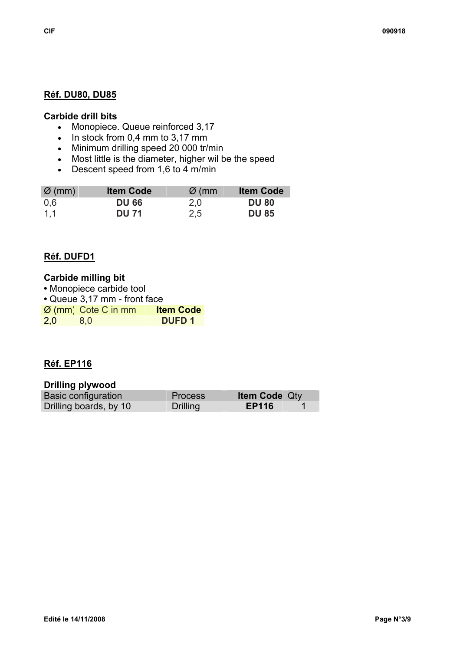#### **Carbide drill bits**

- Monopiece. Queue reinforced 3,17
- In stock from 0,4 mm to 3,17 mm
- Minimum drilling speed 20 000 tr/min
- Most little is the diameter, higher wil be the speed
- Descent speed from 1,6 to 4 m/min

| $\varnothing$ (mm) | <b>Item Code</b> | $\varnothing$ (mm) | <b>Item Code</b> |
|--------------------|------------------|--------------------|------------------|
| 0.6                | <b>DU 66</b>     | 2.0                | <b>DU 80</b>     |
| 1.1                | <b>DU 71</b>     | 2,5                | <b>DU 85</b>     |

## **Réf. DUFD1**

| <b>Carbide milling bit</b>      |                  |
|---------------------------------|------------------|
| • Monopiece carbide tool        |                  |
| • Queue 3,17 mm - front face    |                  |
| $\varnothing$ (mm) Cote C in mm | <b>Item Code</b> |
| 2,0<br>8.0                      | <b>DUFD1</b>     |

## **Réf. EP116**

#### **Drilling plywood**

| .                          |                 |                      |  |
|----------------------------|-----------------|----------------------|--|
| <b>Basic configuration</b> | <b>Process</b>  | <b>Item Code Qty</b> |  |
| Drilling boards, by 10     | <b>Drilling</b> | <b>EP116</b>         |  |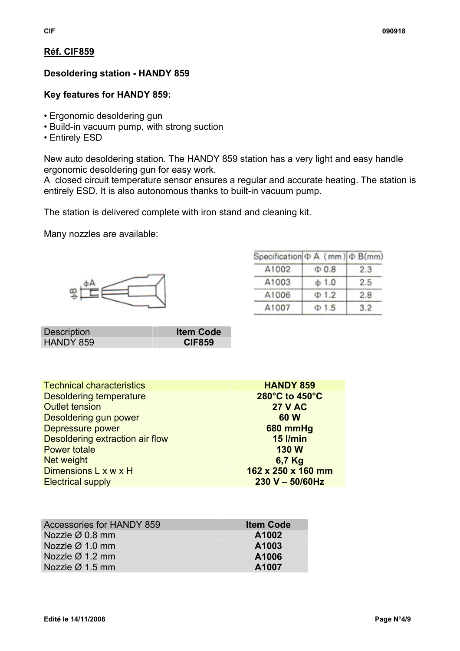# **Réf. CIF859**

# **Desoldering station - HANDY 859**

# **Key features for HANDY 859:**

- Ergonomic desoldering gun
- Build-in vacuum pump, with strong suction
- Entirely ESD

New auto desoldering station. The HANDY 859 station has a very light and easy handle ergonomic desoldering gun for easy work.

A closed circuit temperature sensor ensures a regular and accurate heating. The station is entirely ESD. It is also autonomous thanks to built-in vacuum pump.

The station is delivered complete with iron stand and cleaning kit.

Many nozzles are available:



| Specification $\Phi$ A (mm) $\Phi$ B(mm) |            |     |
|------------------------------------------|------------|-----|
| A1002                                    | $\Phi$ 0.8 | 2.3 |
| A1003                                    | $+1.0$     | 2.5 |
| A1006                                    | $\Phi$ 1.2 | 2.8 |
| A1007                                    | $\Phi$ 1.5 | 3.2 |

| <b>Description</b> | <b>Item Code</b> |
|--------------------|------------------|
| HANDY 859          | <b>CIF859</b>    |

| <b>HANDY 859</b>   |
|--------------------|
| 280°C to 450°C     |
| <b>27 V AC</b>     |
| 60 W               |
| 680 mmHg           |
| <b>15 I/min</b>    |
| <b>130 W</b>       |
| 6,7 Kg             |
| 162 x 250 x 160 mm |
| $230 V - 50/60 Hz$ |
|                    |

| <b>Accessories for HANDY 859</b> | <b>Item Code</b> |
|----------------------------------|------------------|
| Nozzle $\varnothing$ 0.8 mm      | A1002            |
| Nozzle $\varnothing$ 1.0 mm      | A1003            |
| Nozzle $\varnothing$ 1.2 mm      | A1006            |
| Nozzle $\varnothing$ 1.5 mm      | A1007            |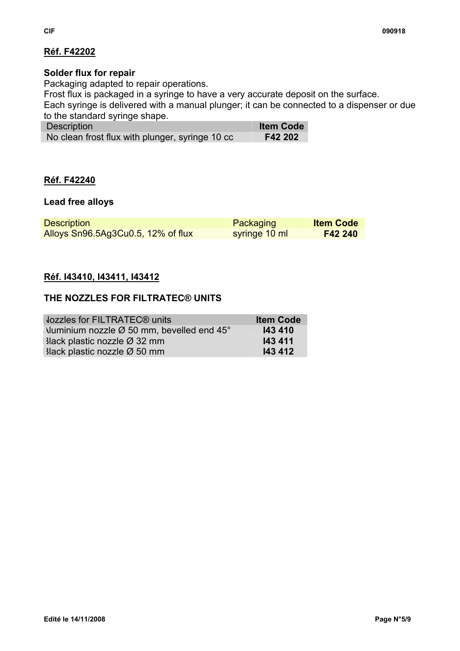# **Réf. F42202**

# **Solder flux for repair**

Packaging adapted to repair operations.

Frost flux is packaged in a syringe to have a very accurate deposit on the surface.

Each syringe is delivered with a manual plunger; it can be connected to a dispenser or due to the standard syringe shape.

| <b>Description</b>                              | <b>Item Code</b> |
|-------------------------------------------------|------------------|
| No clean frost flux with plunger, syringe 10 cc | F42 202          |

## **Réf. F42240**

#### **Lead free alloys**

| <b>Description</b>                 | Packaging     | <b>Item Code</b> |
|------------------------------------|---------------|------------------|
| Alloys Sn96.5Ag3Cu0.5, 12% of flux | syringe 10 ml | F42 240          |

## **Réf. I43410, I43411, I43412**

## **THE NOZZLES FOR FILTRATEC® UNITS**

| <b>Jozzles for FILTRATEC® units</b>                             | <b>Item Code</b> |
|-----------------------------------------------------------------|------------------|
| Numinium nozzle $\varnothing$ 50 mm, bevelled end 45 $^{\circ}$ | 143 410          |
| $3$ lack plastic nozzle $\varnothing$ 32 mm                     | 143 411          |
| $3$ lack plastic nozzle $\varnothing$ 50 mm                     | 143 412          |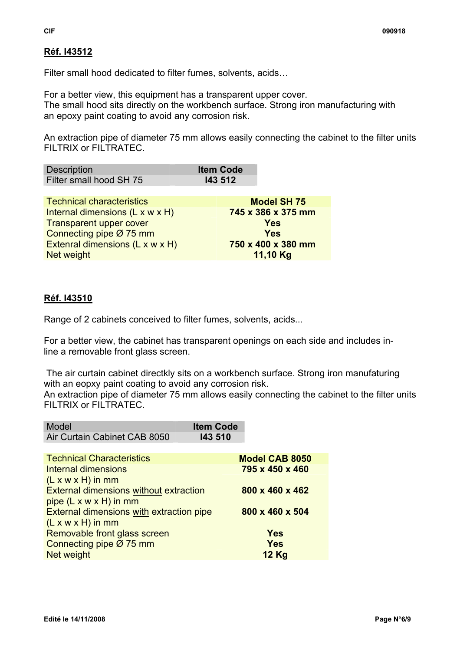# **Réf. I43512**

Filter small hood dedicated to filter fumes, solvents, acids…

For a better view, this equipment has a transparent upper cover. The small hood sits directly on the workbench surface. Strong iron manufacturing with an epoxy paint coating to avoid any corrosion risk.

An extraction pipe of diameter 75 mm allows easily connecting the cabinet to the filter units FILTRIX or FILTRATEC.

| Description             | <b>Item Code</b> |
|-------------------------|------------------|
| Filter small hood SH 75 | 143 512          |

Technical characteristics **Model SH 75**  Internal dimensions (L x w x H) **745 x 386 x 375 mm Transparent upper cover and all the COVE COVER TRANSFORMS** Connecting pipe Ø 75 mm **Yes**  Extenral dimensions (L x w x H) **750 x 400 x 380 mm Net weight <b>11,10 Kg 11,10 Kg** 

# **Réf. I43510**

Range of 2 cabinets conceived to filter fumes, solvents, acids...

For a better view, the cabinet has transparent openings on each side and includes inline a removable front glass screen.

 The air curtain cabinet directkly sits on a workbench surface. Strong iron manufaturing with an eopxy paint coating to avoid any corrosion risk.

An extraction pipe of diameter 75 mm allows easily connecting the cabinet to the filter units FILTRIX or FILTRATEC.

| Model                        | <b>Item Code</b> |
|------------------------------|------------------|
| Air Curtain Cabinet CAB 8050 | <b>143 510</b>   |

| <b>Technical Characteristics</b>              | <b>Model CAB 8050</b> |
|-----------------------------------------------|-----------------------|
| <b>Internal dimensions</b>                    | 795 x 450 x 460       |
| $(L x w x H)$ in mm                           |                       |
| <b>External dimensions without extraction</b> | 800 x 460 x 462       |
| pipe $(L \times w \times H)$ in mm            |                       |
| External dimensions with extraction pipe      | 800 x 460 x 504       |
| $(L x w x H)$ in mm                           |                       |
| Removable front glass screen                  | <b>Yes</b>            |
| Connecting pipe Ø 75 mm                       | <b>Yes</b>            |
| Net weight                                    | <b>12 Kg</b>          |
|                                               |                       |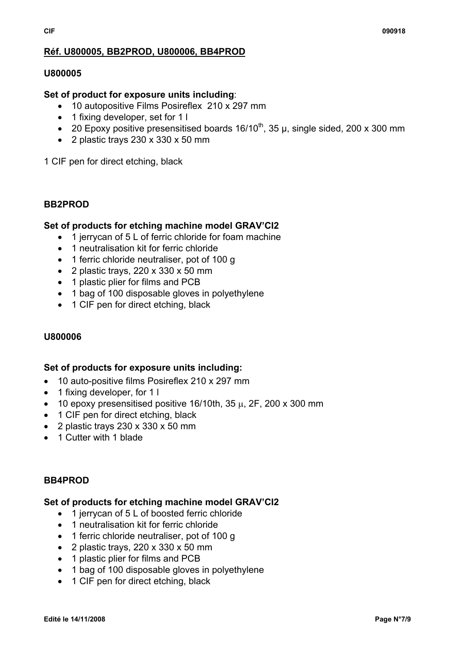# **Réf. U800005, BB2PROD, U800006, BB4PROD**

#### **U800005**

#### **Set of product for exposure units including**:

- 10 autopositive Films Posireflex 210 x 297 mm
- 1 fixing developer, set for 1 l
- 20 Epoxy positive presensitised boards  $16/10^{th}$ , 35 µ, single sided, 200 x 300 mm
- 2 plastic trays 230 x 330 x 50 mm

1 CIF pen for direct etching, black

#### **BB2PROD**

#### **Set of products for etching machine model GRAV'CI2**

- 1 jerrycan of 5 L of ferric chloride for foam machine
- 1 neutralisation kit for ferric chloride
- 1 ferric chloride neutraliser, pot of 100 g
- 2 plastic trays, 220 x 330 x 50 mm
- 1 plastic plier for films and PCB
- 1 bag of 100 disposable gloves in polyethylene
- 1 CIF pen for direct etching, black

## **U800006**

## **Set of products for exposure units including:**

- 10 auto-positive films Posireflex 210 x 297 mm
- 1 fixing developer, for 1 l
- 10 epoxy presensitised positive  $16/10$ th,  $35 \mu$ ,  $2F$ ,  $200 \times 300 \text{ mm}$
- 1 CIF pen for direct etching, black
- 2 plastic trays 230 x 330 x 50 mm
- 1 Cutter with 1 blade

## **BB4PROD**

#### **Set of products for etching machine model GRAV'CI2**

- 1 jerrycan of 5 L of boosted ferric chloride
- 1 neutralisation kit for ferric chloride
- 1 ferric chloride neutraliser, pot of 100 g
- 2 plastic trays,  $220 \times 330 \times 50$  mm
- 1 plastic plier for films and PCB
- 1 bag of 100 disposable gloves in polyethylene
- 1 CIF pen for direct etching, black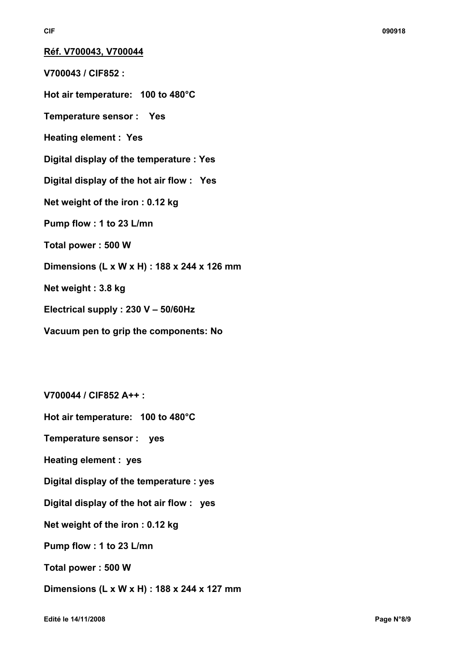**Réf. V700043, V700044**

**V700043 / CIF852 :** 

**Hot air temperature: 100 to 480°C** 

**Temperature sensor : Yes** 

**Heating element : Yes** 

**Digital display of the temperature : Yes** 

**Digital display of the hot air flow : Yes** 

**Net weight of the iron : 0.12 kg** 

**Pump flow : 1 to 23 L/mn** 

**Total power : 500 W** 

**Dimensions (L x W x H) : 188 x 244 x 126 mm** 

**Net weight : 3.8 kg** 

**Electrical supply : 230 V – 50/60Hz** 

**Vacuum pen to grip the components: No** 

**V700044 / CIF852 A++ :** 

**Hot air temperature: 100 to 480°C** 

**Temperature sensor : yes** 

**Heating element : yes** 

**Digital display of the temperature : yes** 

**Digital display of the hot air flow : yes** 

**Net weight of the iron : 0.12 kg** 

**Pump flow : 1 to 23 L/mn** 

**Total power : 500 W** 

**Dimensions (L x W x H) : 188 x 244 x 127 mm**